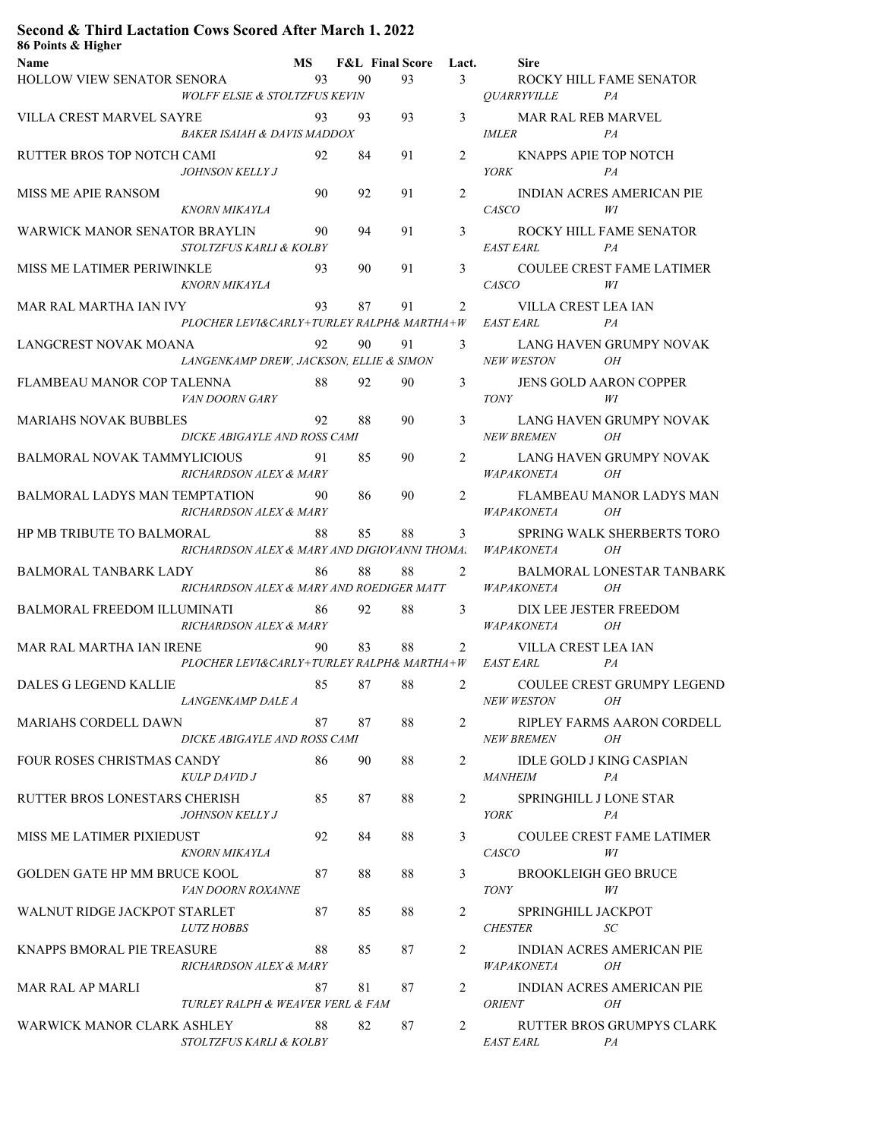## **Second & Third Lactation Cows Scored After March 1, 2022**

| 86 Points & Higher                                                     |    |          |                          |                |                                                                               |
|------------------------------------------------------------------------|----|----------|--------------------------|----------------|-------------------------------------------------------------------------------|
| Name                                                                   |    |          | MS F&L Final Score Lact. |                | <b>Sire</b>                                                                   |
| HOLLOW VIEW SENATOR SENORA                                             | 93 | 90       | 93 — 100                 |                | 3 <sup>1</sup><br>ROCKY HILL FAME SENATOR                                     |
| <b>WOLFF ELSIE &amp; STOLTZFUS KEVIN</b>                               |    |          |                          |                | <i><b>OUARRYVILLE</b></i><br>PA                                               |
| VILLA CREST MARVEL SAYRE                                               |    | 93<br>93 | 93                       |                | $3 \left( \frac{1}{2} \right)$<br>MAR RAL REB MARVEL                          |
| <b>BAKER ISAIAH &amp; DAVIS MADDOX</b>                                 |    |          |                          |                | <b>IMLER</b><br>PA                                                            |
| RUTTER BROS TOP NOTCH CAMI                                             | 92 | 84       | 91                       | $\overline{2}$ | KNAPPS APIE TOP NOTCH                                                         |
| <i>JOHNSON KELLY J</i>                                                 |    |          |                          |                | <b>YORK</b><br>PA                                                             |
| MISS ME APIE RANSOM                                                    | 90 | 92       | 91                       | $\overline{2}$ | INDIAN ACRES AMERICAN PIE                                                     |
| KNORN MIKAYLA                                                          |    |          |                          |                | <b>CASCO</b><br>WI                                                            |
| WARWICK MANOR SENATOR BRAYLIN                                          | 90 | 94       | 91                       |                | $3 \quad \text{ }$<br>ROCKY HILL FAME SENATOR                                 |
| STOLTZFUS KARLI & KOLBY                                                |    |          |                          |                | <b>EAST EARL</b><br>PA                                                        |
| MISS ME LATIMER PERIWINKLE                                             | 93 | 90       | 91                       |                | $3 \left( \frac{1}{2} \right)$<br><b>COULEE CREST FAME LATIMER</b>            |
| KNORN MIKAYLA                                                          |    |          |                          |                | <b>CASCO</b><br>WI                                                            |
| MAR RAL MARTHA IAN IVY                                                 | 93 | 87       | 91                       |                | $\overline{2}$<br>VILLA CREST LEA IAN                                         |
| PLOCHER LEVI&CARLY+TURLEY RALPH& MARTHA+W                              |    |          |                          |                | <b>EAST EARL</b><br>PA                                                        |
|                                                                        |    |          |                          |                |                                                                               |
| LANGCREST NOVAK MOANA                                                  | 92 | 90       | 91                       |                | $3 \left( \frac{1}{2} \right)$<br>LANG HAVEN GRUMPY NOVAK                     |
| LANGENKAMP DREW, JACKSON, ELLIE & SIMON                                |    |          |                          |                | NEW WESTON<br>OН                                                              |
| FLAMBEAU MANOR COP TALENNA                                             | 88 | 92       | 90                       | $\mathfrak{Z}$ | JENS GOLD AARON COPPER                                                        |
| VAN DOORN GARY                                                         |    |          |                          |                | <i>TONY</i><br>WI                                                             |
| <b>MARIAHS NOVAK BUBBLES</b>                                           | 92 | 88       | 90                       | 3              | LANG HAVEN GRUMPY NOVAK                                                       |
| DICKE ABIGAYLE AND ROSS CAMI                                           |    |          |                          |                | NEW BREMEN OH                                                                 |
| BALMORAL NOVAK TAMMYLICIOUS                                            | 91 | 85       | 90                       |                | $\overline{2}$<br>LANG HAVEN GRUMPY NOVAK                                     |
| RICHARDSON ALEX & MARY                                                 |    |          |                          |                | <i>WAPAKONETA</i><br>OН                                                       |
| BALMORAL LADYS MAN TEMPTATION                                          | 90 | 86       | 90                       | 2              | FLAMBEAU MANOR LADYS MAN                                                      |
| RICHARDSON ALEX & MARY                                                 |    |          |                          |                | <i>WAPAKONETA</i><br>OН                                                       |
| HP MB TRIBUTE TO BALMORAL                                              | 88 | 85       | 88                       | $\mathfrak{Z}$ | SPRING WALK SHERBERTS TORO                                                    |
| RICHARDSON ALEX & MARY AND DIGIOVANNI THOMA. WAPAKONETA                |    |          |                          |                | OН                                                                            |
| BALMORAL TANBARK LADY                                                  | 86 | 88       | 88                       |                | $\overline{2}$<br><b>BALMORAL LONESTAR TANBARK</b>                            |
| RICHARDSON ALEX & MARY AND ROEDIGER MATT                               |    |          |                          |                | WAPAKONETA<br>OH                                                              |
| BALMORAL FREEDOM ILLUMINATI 86                                         |    | 92       | 88                       |                | $3 \quad \text{ }$<br>DIX LEE JESTER FREEDOM                                  |
| RICHARDSON ALEX & MARY                                                 |    |          |                          |                | WAPAKONETA OH                                                                 |
|                                                                        |    | 83       | 88                       |                |                                                                               |
| MAR RAL MARTHA IAN IRENE                                               | 90 |          |                          | $\overline{2}$ | VILLA CREST LEA IAN<br>PLOCHER LEVI&CARLY+TURLEY RALPH& MARTHA+W EAST EARL PA |
|                                                                        |    |          |                          |                |                                                                               |
| DALES G LEGEND KALLIE $85 \t 87 \t 88 \t 2$ COULEE CREST GRUMPY LEGEND |    |          |                          |                |                                                                               |
| LANGENKAMP DALE A                                                      |    |          |                          |                | <i>NEW WESTON</i><br>OН                                                       |
| MARIAHS CORDELL DAWN                                                   | 87 | 87       | 88                       | $\overline{2}$ | RIPLEY FARMS AARON CORDELL                                                    |
| DICKE ABIGAYLE AND ROSS CAMI                                           |    |          |                          |                | <i>NEW BREMEN</i><br>OН                                                       |
| FOUR ROSES CHRISTMAS CANDY                                             | 86 | 90       | 88                       | $\overline{2}$ | IDLE GOLD J KING CASPIAN                                                      |
| <b>KULP DAVID J</b>                                                    |    |          |                          |                | <b>MANHEIM</b><br>PA                                                          |
| RUTTER BROS LONESTARS CHERISH                                          | 85 | 87       | 88                       | 2              | SPRINGHILL J LONE STAR                                                        |
| <b>JOHNSON KELLY J</b>                                                 |    |          |                          |                | YORK<br>PA                                                                    |
| MISS ME LATIMER PIXIEDUST                                              | 92 | 84       | 88                       | 3              | <b>COULEE CREST FAME LATIMER</b>                                              |
| <b>KNORN MIKAYLA</b>                                                   |    |          |                          |                | <i>CASCO</i><br>WI                                                            |
| GOLDEN GATE HP MM BRUCE KOOL                                           | 87 | 88       | 88                       | 3              | <b>BROOKLEIGH GEO BRUCE</b>                                                   |
| VAN DOORN ROXANNE                                                      |    |          |                          |                | <b>TONY</b><br>WI                                                             |
| WALNUT RIDGE JACKPOT STARLET                                           | 87 | 85       | 88                       | 2              | SPRINGHILL JACKPOT                                                            |
| <b>LUTZ HOBBS</b>                                                      |    |          |                          |                | <b>CHESTER</b><br>SC                                                          |
|                                                                        |    |          |                          |                |                                                                               |
| KNAPPS BMORAL PIE TREASURE                                             | 88 | 85       | 87                       | 2              | <b>INDIAN ACRES AMERICAN PIE</b><br>OН                                        |
| RICHARDSON ALEX & MARY                                                 |    |          |                          |                | <i>WAPAKONETA</i>                                                             |
| MAR RAL AP MARLI                                                       | 87 | 81       | 87                       | $\overline{2}$ | <b>INDIAN ACRES AMERICAN PIE</b>                                              |
| TURLEY RALPH & WEAVER VERL & FAM                                       |    |          |                          |                | <i><b>ORIENT</b></i><br>OН                                                    |
| WARWICK MANOR CLARK ASHLEY                                             | 88 | 82       | 87                       | 2              | RUTTER BROS GRUMPYS CLARK                                                     |
| STOLTZFUS KARLI & KOLBY                                                |    |          |                          |                | <i>EAST EARL</i><br>PA                                                        |